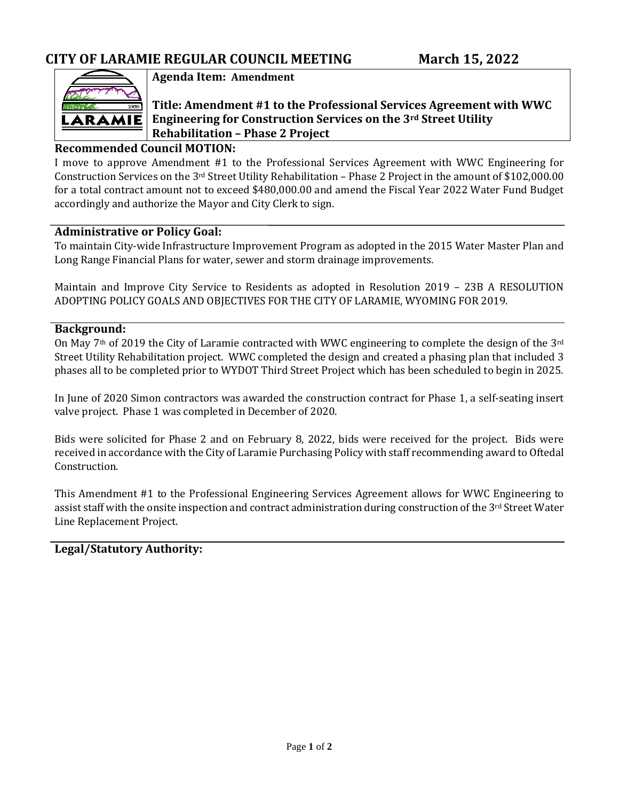

**Agenda Item: Amendment**

# **Title: Amendment #1 to the Professional Services Agreement with WWC Engineering for Construction Services on the 3rd Street Utility Rehabilitation – Phase 2 Project**

### **Recommended Council MOTION:**

I move to approve Amendment #1 to the Professional Services Agreement with WWC Engineering for Construction Services on the 3rd Street Utility Rehabilitation – Phase 2 Project in the amount of \$102,000.00 for a total contract amount not to exceed \$480,000.00 and amend the Fiscal Year 2022 Water Fund Budget accordingly and authorize the Mayor and City Clerk to sign.

#### **Administrative or Policy Goal:**

To maintain City-wide Infrastructure Improvement Program as adopted in the 2015 Water Master Plan and Long Range Financial Plans for water, sewer and storm drainage improvements.

Maintain and Improve City Service to Residents as adopted in Resolution 2019 – 23B A RESOLUTION ADOPTING POLICY GOALS AND OBJECTIVES FOR THE CITY OF LARAMIE, WYOMING FOR 2019.

#### **Background:**

On May 7<sup>th</sup> of 2019 the City of Laramie contracted with WWC engineering to complete the design of the 3<sup>rd</sup> Street Utility Rehabilitation project. WWC completed the design and created a phasing plan that included 3 phases all to be completed prior to WYDOT Third Street Project which has been scheduled to begin in 2025.

In June of 2020 Simon contractors was awarded the construction contract for Phase 1, a self-seating insert valve project. Phase 1 was completed in December of 2020.

Bids were solicited for Phase 2 and on February 8, 2022, bids were received for the project. Bids were received in accordance with the City of Laramie Purchasing Policy with staff recommending award to Oftedal Construction.

This Amendment #1 to the Professional Engineering Services Agreement allows for WWC Engineering to assist staff with the onsite inspection and contract administration during construction of the 3rd Street Water Line Replacement Project.

# **Legal/Statutory Authority:**